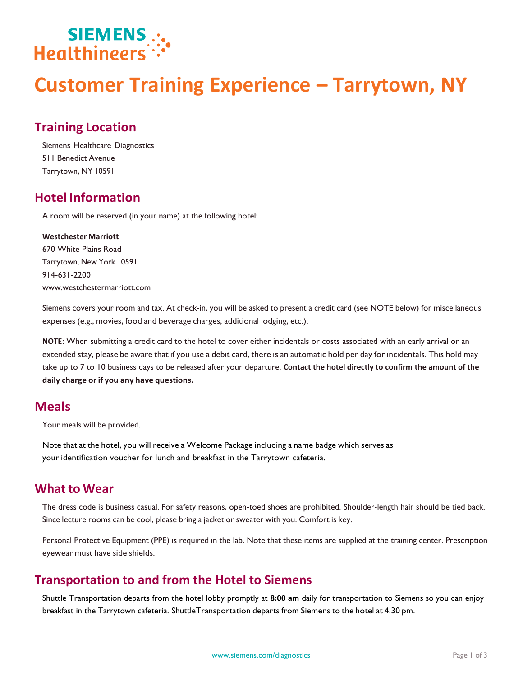

# **Customer Training Experience – Tarrytown, NY**

### **Training Location**

Siemens Healthcare Diagnostics 511 Benedict Avenue Tarrytown, NY 10591

#### **Hotel Information**

A room will be reserved (in your name) at the following hotel:

#### **Westchester Marriott**

670 White Plains Road Tarrytown, New York 10591 914-631-2200 [www.westchestermarriott.com](http://www.westchestermarriott.com/)

Siemens covers your room and tax. At check-in, you will be asked to present a credit card (see NOTE below) for miscellaneous expenses (e.g., movies, food and beverage charges, additional lodging, etc.).

**NOTE:** When submitting a credit card to the hotel to cover either incidentals or costs associated with an early arrival or an extended stay, please be aware that if you use a debit card, there is an automatic hold per day for incidentals. This hold may take up to 7 to 10 business days to be released after your departure. **Contact the hotel directly to confirm the amount of the daily charge or if you any have questions.**

#### **Meals**

Your meals will be provided.

Note that at the hotel, you will receive a Welcome Package including a name badge which serves as your identification voucher for lunch and breakfast in the Tarrytown cafeteria.

#### **What to Wear**

The dress code is business casual. For safety reasons, open-toed shoes are prohibited. Shoulder-length hair should be tied back. Since lecture rooms can be cool, please bring a jacket or sweater with you. Comfort is key.

Personal Protective Equipment (PPE) is required in the lab. Note that these items are supplied at the training center. Prescription eyewear must have side shields.

#### **Transportation to and from the Hotel to Siemens**

Shuttle Transportation departs from the hotel lobby promptly at **8:00 am** daily for transportation to Siemens so you can enjoy breakfast in the Tarrytown cafeteria. ShuttleTransportation departs from Siemens to the hotel at 4:30 pm.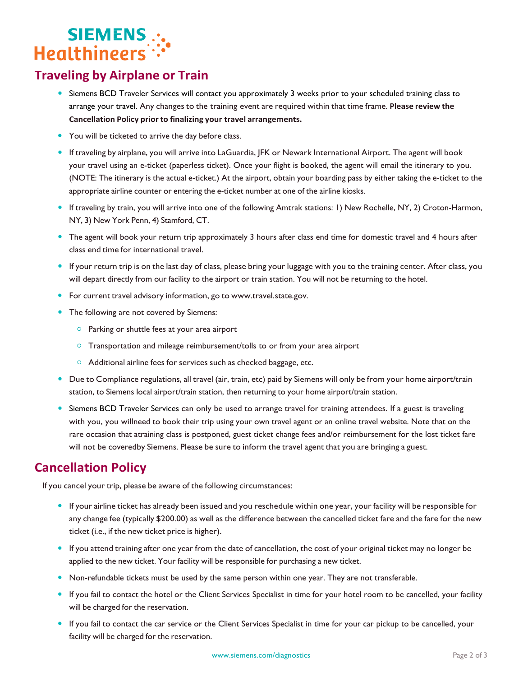# SIEMENS...<br>"Healthineers

## **Traveling by Airplane or Train**

- Siemens BCD Traveler Services will contact you approximately 3 weeks prior to your scheduled training class to arrange your travel. Any changes to the training event are required within that time frame. **Please review the Cancellation Policy prior to finalizing your travel arrangements.**
- You will be ticketed to arrive the day before class.
- If traveling by airplane, you will arrive into LaGuardia, JFK or Newark International Airport. The agent will book your travel using an e-ticket (paperless ticket). Once your flight is booked, the agent will email the itinerary to you. (NOTE: The itinerary is the actual e-ticket.) At the airport, obtain your boarding pass by either taking the e-ticket to the appropriate airline counter or entering the e-ticket number at one of the airline kiosks.
- If traveling by train, you will arrive into one of the following Amtrak stations: 1) New Rochelle, NY, 2) Croton-Harmon, NY, 3) New York Penn, 4) Stamford, CT.
- The agent will book your return trip approximately 3 hours after class end time for domestic travel and 4 hours after class end time for international travel.
- If your return trip is on the last day of class, please bring your luggage with you to the training center. After class, you will depart directly from our facility to the airport or train station. You will not be returning to the hotel.
- **•** For current travel advisory information, go to [www.travel.state.gov.](http://www.travel.state.gov/)
- The following are not covered by Siemens:
	- $\circ$  Parking or shuttle fees at your area airport
	- Transportation and mileage reimbursement/tolls to or from your area airport
	- Additional airline fees for services such as checked baggage, etc.
- Due to Compliance regulations, all travel (air, train, etc) paid by Siemens will only be from your home airport/train station, to Siemens local airport/train station, then returning to your home airport/train station.
- Siemens BCD Traveler Services can only be used to arrange travel for training attendees. If a guest is traveling with you, you willneed to book their trip using your own travel agent or an online travel website. Note that on the rare occasion that atraining class is postponed, guest ticket change fees and/or reimbursement for the lost ticket fare will not be coveredby Siemens. Please be sure to inform the travel agent that you are bringing a guest.

#### **Cancellation Policy**

If you cancel your trip, please be aware of the following circumstances:

- If your airline ticket has already been issued and you reschedule within one year, your facility will be responsible for any change fee (typically \$200.00) as well as the difference between the cancelled ticket fare and the fare for the new ticket (i.e., if the new ticket price is higher).
- If you attend training after one year from the date of cancellation, the cost of your original ticket may no longer be applied to the new ticket. Your facility will be responsible for purchasing a new ticket.
- Non-refundable tickets must be used by the same person within one year. They are not transferable.
- If you fail to contact the hotel or the Client Services Specialist in time for your hotel room to be cancelled, your facility will be charged for the reservation.
- If you fail to contact the car service or the Client Services Specialist in time for your car pickup to be cancelled, your facility will be charged for the reservation.